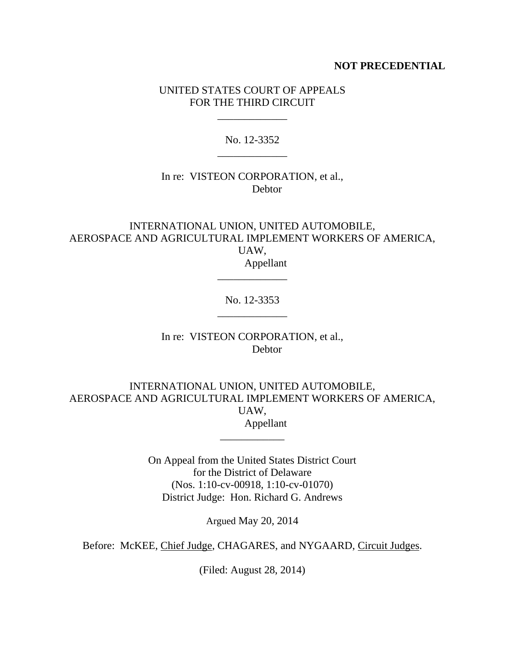## **NOT PRECEDENTIAL**

## UNITED STATES COURT OF APPEALS FOR THE THIRD CIRCUIT

\_\_\_\_\_\_\_\_\_\_\_\_\_

No. 12-3352 \_\_\_\_\_\_\_\_\_\_\_\_\_

# In re: VISTEON CORPORATION, et al., Debtor

INTERNATIONAL UNION, UNITED AUTOMOBILE, AEROSPACE AND AGRICULTURAL IMPLEMENT WORKERS OF AMERICA, UAW, Appellant

> No. 12-3353 \_\_\_\_\_\_\_\_\_\_\_\_\_

> \_\_\_\_\_\_\_\_\_\_\_\_\_

In re: VISTEON CORPORATION, et al., **Debtor** 

INTERNATIONAL UNION, UNITED AUTOMOBILE, AEROSPACE AND AGRICULTURAL IMPLEMENT WORKERS OF AMERICA, UAW, Appellant

\_\_\_\_\_\_\_\_\_\_\_\_

On Appeal from the United States District Court for the District of Delaware (Nos. 1:10-cv-00918, 1:10-cv-01070) District Judge: Hon. Richard G. Andrews

Argued May 20, 2014

Before: McKEE, Chief Judge, CHAGARES, and NYGAARD, Circuit Judges.

(Filed: August 28, 2014)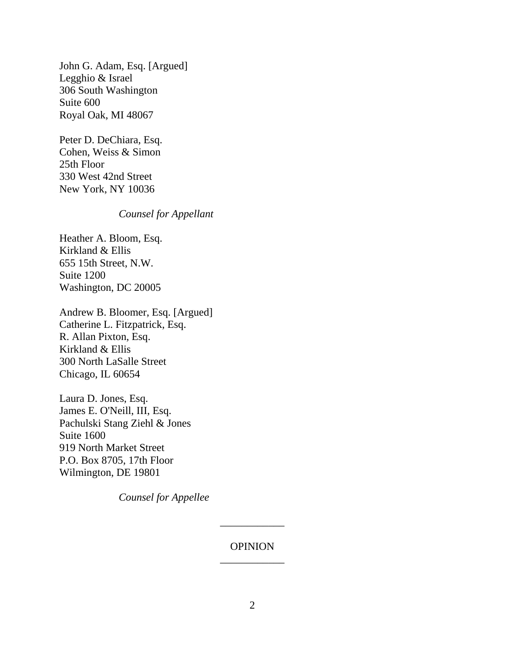John G. Adam, Esq. [Argued] Legghio & Israel 306 South Washington Suite 600 Royal Oak, MI 48067

Peter D. DeChiara, Esq. Cohen, Weiss & Simon 25th Floor 330 West 42nd Street New York, NY 10036

## *Counsel for Appellant*

Heather A. Bloom, Esq. Kirkland & Ellis 655 15th Street, N.W. Suite 1200 Washington, DC 20005

Andrew B. Bloomer, Esq. [Argued] Catherine L. Fitzpatrick, Esq. R. Allan Pixton, Esq. Kirkland & Ellis 300 North LaSalle Street Chicago, IL 60654

Laura D. Jones, Esq. James E. O'Neill, III, Esq. Pachulski Stang Ziehl & Jones Suite 1600 919 North Market Street P.O. Box 8705, 17th Floor Wilmington, DE 19801

*Counsel for Appellee*

# OPINION \_\_\_\_\_\_\_\_\_\_\_\_

\_\_\_\_\_\_\_\_\_\_\_\_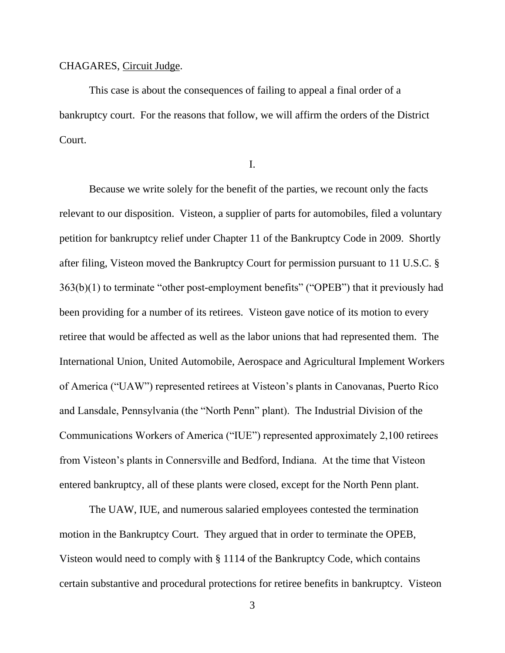#### CHAGARES, Circuit Judge.

This case is about the consequences of failing to appeal a final order of a bankruptcy court. For the reasons that follow, we will affirm the orders of the District Court.

I.

Because we write solely for the benefit of the parties, we recount only the facts relevant to our disposition. Visteon, a supplier of parts for automobiles, filed a voluntary petition for bankruptcy relief under Chapter 11 of the Bankruptcy Code in 2009. Shortly after filing, Visteon moved the Bankruptcy Court for permission pursuant to 11 U.S.C. § 363(b)(1) to terminate "other post-employment benefits" ("OPEB") that it previously had been providing for a number of its retirees. Visteon gave notice of its motion to every retiree that would be affected as well as the labor unions that had represented them. The International Union, United Automobile, Aerospace and Agricultural Implement Workers of America ("UAW") represented retirees at Visteon's plants in Canovanas, Puerto Rico and Lansdale, Pennsylvania (the "North Penn" plant). The Industrial Division of the Communications Workers of America ("IUE") represented approximately 2,100 retirees from Visteon's plants in Connersville and Bedford, Indiana. At the time that Visteon entered bankruptcy, all of these plants were closed, except for the North Penn plant.

The UAW, IUE, and numerous salaried employees contested the termination motion in the Bankruptcy Court. They argued that in order to terminate the OPEB, Visteon would need to comply with § 1114 of the Bankruptcy Code, which contains certain substantive and procedural protections for retiree benefits in bankruptcy. Visteon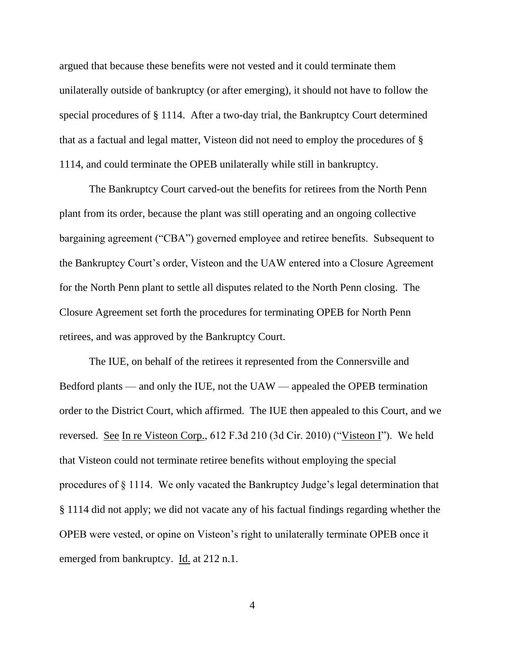argued that because these benefits were not vested and it could terminate them unilaterally outside of bankruptcy (or after emerging), it should not have to follow the special procedures of § 1114. After a two-day trial, the Bankruptcy Court determined that as a factual and legal matter, Visteon did not need to employ the procedures of § 1114, and could terminate the OPEB unilaterally while still in bankruptcy.

The Bankruptcy Court carved-out the benefits for retirees from the North Penn plant from its order, because the plant was still operating and an ongoing collective bargaining agreement ("CBA") governed employee and retiree benefits. Subsequent to the Bankruptcy Court's order, Visteon and the UAW entered into a Closure Agreement for the North Penn plant to settle all disputes related to the North Penn closing. The Closure Agreement set forth the procedures for terminating OPEB for North Penn retirees, and was approved by the Bankruptcy Court.

The IUE, on behalf of the retirees it represented from the Connersville and Bedford plants — and only the IUE, not the UAW — appealed the OPEB termination order to the District Court, which affirmed. The IUE then appealed to this Court, and we reversed. See In re Visteon Corp., 612 F.3d 210 (3d Cir. 2010) ("Visteon I"). We held that Visteon could not terminate retiree benefits without employing the special procedures of § 1114. We only vacated the Bankruptcy Judge's legal determination that § 1114 did not apply; we did not vacate any of his factual findings regarding whether the OPEB were vested, or opine on Visteon's right to unilaterally terminate OPEB once it emerged from bankruptcy. Id. at 212 n.1.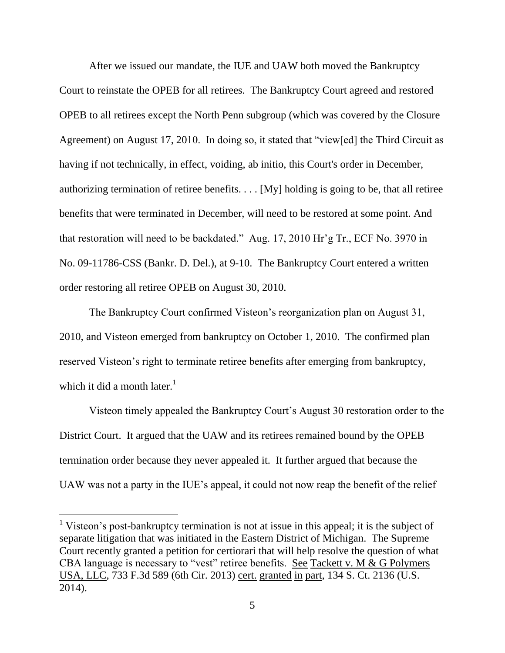After we issued our mandate, the IUE and UAW both moved the Bankruptcy Court to reinstate the OPEB for all retirees. The Bankruptcy Court agreed and restored OPEB to all retirees except the North Penn subgroup (which was covered by the Closure Agreement) on August 17, 2010. In doing so, it stated that "view[ed] the Third Circuit as having if not technically, in effect, voiding, ab initio, this Court's order in December, authorizing termination of retiree benefits.  $\dots$  [My] holding is going to be, that all retiree benefits that were terminated in December, will need to be restored at some point. And that restoration will need to be backdated." Aug. 17, 2010 Hr'g Tr., ECF No. 3970 in No. 09-11786-CSS (Bankr. D. Del.), at 9-10. The Bankruptcy Court entered a written order restoring all retiree OPEB on August 30, 2010.

The Bankruptcy Court confirmed Visteon's reorganization plan on August 31, 2010, and Visteon emerged from bankruptcy on October 1, 2010. The confirmed plan reserved Visteon's right to terminate retiree benefits after emerging from bankruptcy, which it did a month later. $<sup>1</sup>$ </sup>

Visteon timely appealed the Bankruptcy Court's August 30 restoration order to the District Court. It argued that the UAW and its retirees remained bound by the OPEB termination order because they never appealed it. It further argued that because the UAW was not a party in the IUE's appeal, it could not now reap the benefit of the relief

<sup>&</sup>lt;sup>1</sup> Visteon's post-bankruptcy termination is not at issue in this appeal; it is the subject of separate litigation that was initiated in the Eastern District of Michigan. The Supreme Court recently granted a petition for certiorari that will help resolve the question of what CBA language is necessary to "vest" retiree benefits. See Tackett v. M & G Polymers USA, LLC, 733 F.3d 589 (6th Cir. 2013) cert. granted in part, 134 S. Ct. 2136 (U.S. 2014).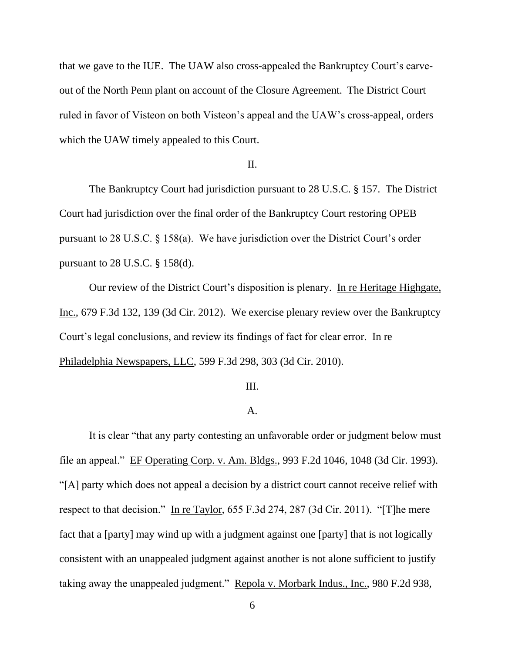that we gave to the IUE. The UAW also cross-appealed the Bankruptcy Court's carveout of the North Penn plant on account of the Closure Agreement. The District Court ruled in favor of Visteon on both Visteon's appeal and the UAW's cross-appeal, orders which the UAW timely appealed to this Court.

#### II.

The Bankruptcy Court had jurisdiction pursuant to 28 U.S.C. § 157. The District Court had jurisdiction over the final order of the Bankruptcy Court restoring OPEB pursuant to 28 U.S.C. § 158(a). We have jurisdiction over the District Court's order pursuant to 28 U.S.C. § 158(d).

Our review of the District Court's disposition is plenary. In re Heritage Highgate, Inc., 679 F.3d 132, 139 (3d Cir. 2012). We exercise plenary review over the Bankruptcy Court's legal conclusions, and review its findings of fact for clear error. In re Philadelphia Newspapers, LLC, 599 F.3d 298, 303 (3d Cir. 2010).

#### III.

## A.

It is clear "that any party contesting an unfavorable order or judgment below must file an appeal." EF Operating Corp. v. Am. Bldgs., 993 F.2d 1046, 1048 (3d Cir. 1993). "[A] party which does not appeal a decision by a district court cannot receive relief with respect to that decision." In re Taylor, 655 F.3d 274, 287 (3d Cir. 2011). "[T]he mere fact that a [party] may wind up with a judgment against one [party] that is not logically consistent with an unappealed judgment against another is not alone sufficient to justify taking away the unappealed judgment." Repola v. Morbark Indus., Inc., 980 F.2d 938,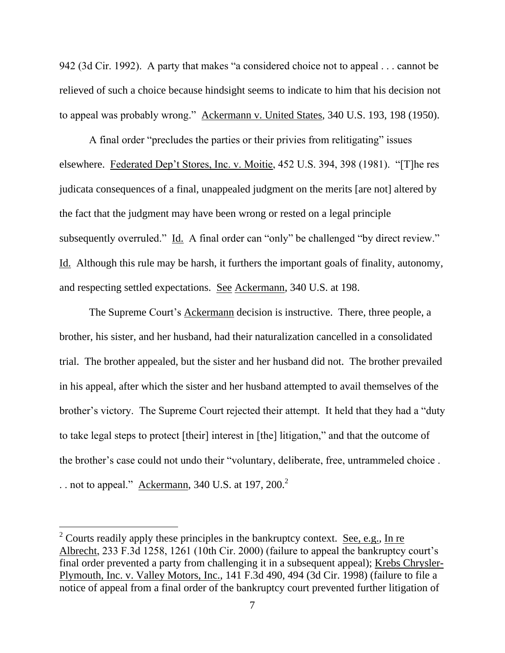942 (3d Cir. 1992). A party that makes "a considered choice not to appeal . . . cannot be relieved of such a choice because hindsight seems to indicate to him that his decision not to appeal was probably wrong." Ackermann v. United States, 340 U.S. 193, 198 (1950).

A final order "precludes the parties or their privies from relitigating" issues elsewhere. Federated Dep't Stores, Inc. v. Moitie, 452 U.S. 394, 398 (1981). "[T]he res judicata consequences of a final, unappealed judgment on the merits [are not] altered by the fact that the judgment may have been wrong or rested on a legal principle subsequently overruled." Id. A final order can "only" be challenged "by direct review." Id. Although this rule may be harsh, it furthers the important goals of finality, autonomy, and respecting settled expectations. See Ackermann, 340 U.S. at 198.

The Supreme Court's **Ackermann** decision is instructive. There, three people, a brother, his sister, and her husband, had their naturalization cancelled in a consolidated trial. The brother appealed, but the sister and her husband did not. The brother prevailed in his appeal, after which the sister and her husband attempted to avail themselves of the brother's victory. The Supreme Court rejected their attempt. It held that they had a "duty to take legal steps to protect [their] interest in [the] litigation," and that the outcome of the brother's case could not undo their "voluntary, deliberate, free, untrammeled choice . . . not to appeal." Ackermann, 340 U.S. at 197,  $200.<sup>2</sup>$ 

<sup>&</sup>lt;sup>2</sup> Courts readily apply these principles in the bankruptcy context. <u>See, e.g.</u>, In re Albrecht, 233 F.3d 1258, 1261 (10th Cir. 2000) (failure to appeal the bankruptcy court's final order prevented a party from challenging it in a subsequent appeal); Krebs Chrysler-Plymouth, Inc. v. Valley Motors, Inc., 141 F.3d 490, 494 (3d Cir. 1998) (failure to file a notice of appeal from a final order of the bankruptcy court prevented further litigation of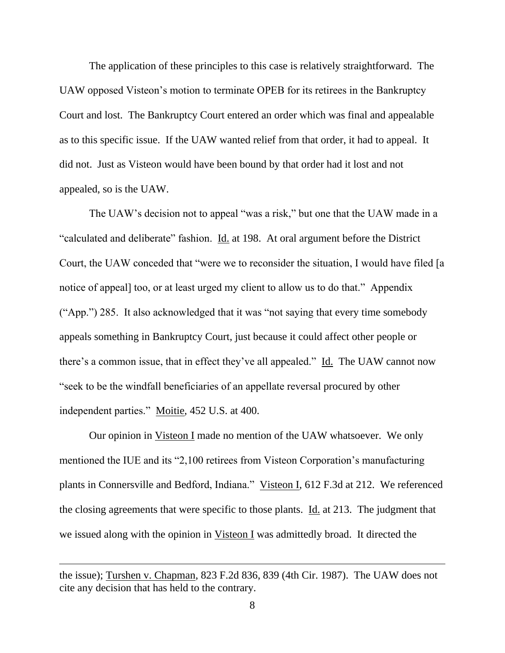The application of these principles to this case is relatively straightforward. The UAW opposed Visteon's motion to terminate OPEB for its retirees in the Bankruptcy Court and lost. The Bankruptcy Court entered an order which was final and appealable as to this specific issue. If the UAW wanted relief from that order, it had to appeal. It did not. Just as Visteon would have been bound by that order had it lost and not appealed, so is the UAW.

The UAW's decision not to appeal "was a risk," but one that the UAW made in a "calculated and deliberate" fashion. Id. at 198. At oral argument before the District Court, the UAW conceded that "were we to reconsider the situation, I would have filed [a notice of appeal] too, or at least urged my client to allow us to do that." Appendix ("App.") 285. It also acknowledged that it was "not saying that every time somebody appeals something in Bankruptcy Court, just because it could affect other people or there's a common issue, that in effect they've all appealed." Id. The UAW cannot now "seek to be the windfall beneficiaries of an appellate reversal procured by other independent parties." Moitie, 452 U.S. at 400.

Our opinion in Visteon I made no mention of the UAW whatsoever. We only mentioned the IUE and its "2,100 retirees from Visteon Corporation's manufacturing plants in Connersville and Bedford, Indiana." Visteon I, 612 F.3d at 212. We referenced the closing agreements that were specific to those plants. Id. at 213. The judgment that we issued along with the opinion in Visteon I was admittedly broad. It directed the

the issue); Turshen v. Chapman, 823 F.2d 836, 839 (4th Cir. 1987). The UAW does not cite any decision that has held to the contrary.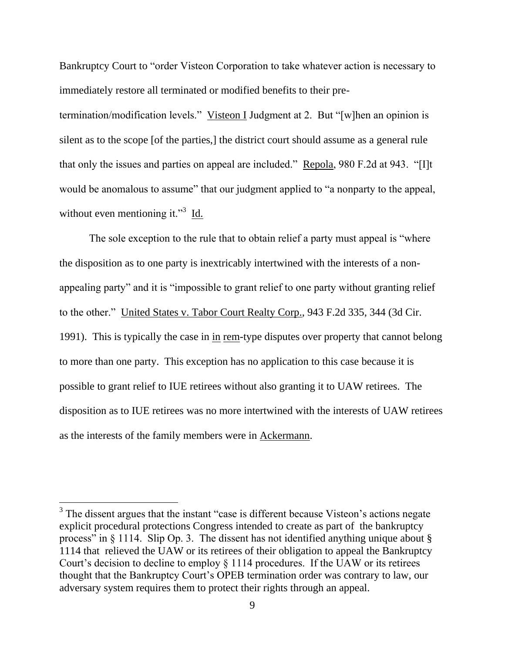Bankruptcy Court to "order Visteon Corporation to take whatever action is necessary to immediately restore all terminated or modified benefits to their pre-

termination/modification levels." Visteon I Judgment at 2. But "[w]hen an opinion is silent as to the scope [of the parties,] the district court should assume as a general rule that only the issues and parties on appeal are included." Repola, 980 F.2d at 943. "[I]t would be anomalous to assume" that our judgment applied to "a nonparty to the appeal, without even mentioning it."<sup>3</sup> Id.

The sole exception to the rule that to obtain relief a party must appeal is "where the disposition as to one party is inextricably intertwined with the interests of a nonappealing party" and it is "impossible to grant relief to one party without granting relief to the other." United States v. Tabor Court Realty Corp., 943 F.2d 335, 344 (3d Cir. 1991). This is typically the case in in rem-type disputes over property that cannot belong to more than one party. This exception has no application to this case because it is possible to grant relief to IUE retirees without also granting it to UAW retirees. The disposition as to IUE retirees was no more intertwined with the interests of UAW retirees as the interests of the family members were in Ackermann.

 $3$  The dissent argues that the instant "case is different because Visteon's actions negate explicit procedural protections Congress intended to create as part of the bankruptcy process" in § 1114. Slip Op. 3. The dissent has not identified anything unique about § 1114 that relieved the UAW or its retirees of their obligation to appeal the Bankruptcy Court's decision to decline to employ § 1114 procedures. If the UAW or its retirees thought that the Bankruptcy Court's OPEB termination order was contrary to law, our adversary system requires them to protect their rights through an appeal.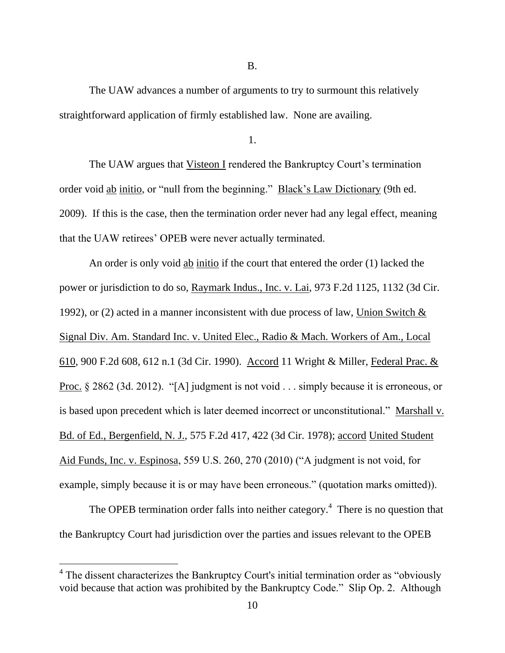B.

The UAW advances a number of arguments to try to surmount this relatively straightforward application of firmly established law. None are availing.

The UAW argues that Visteon I rendered the Bankruptcy Court's termination order void ab initio, or "null from the beginning." Black's Law Dictionary (9th ed. 2009). If this is the case, then the termination order never had any legal effect, meaning that the UAW retirees' OPEB were never actually terminated.

An order is only void ab initio if the court that entered the order (1) lacked the power or jurisdiction to do so, Raymark Indus., Inc. v. Lai, 973 F.2d 1125, 1132 (3d Cir. 1992), or (2) acted in a manner inconsistent with due process of law, Union Switch  $\&$ Signal Div. Am. Standard Inc. v. United Elec., Radio & Mach. Workers of Am., Local 610, 900 F.2d 608, 612 n.1 (3d Cir. 1990). Accord 11 Wright & Miller, Federal Prac. & Proc. § 2862 (3d. 2012). "[A] judgment is not void . . . simply because it is erroneous, or is based upon precedent which is later deemed incorrect or unconstitutional." Marshall v. Bd. of Ed., Bergenfield, N. J., 575 F.2d 417, 422 (3d Cir. 1978); accord United Student Aid Funds, Inc. v. Espinosa, 559 U.S. 260, 270 (2010) ("A judgment is not void, for example, simply because it is or may have been erroneous." (quotation marks omitted)).

The OPEB termination order falls into neither category.<sup>4</sup> There is no question that the Bankruptcy Court had jurisdiction over the parties and issues relevant to the OPEB

<sup>1.</sup>

<sup>&</sup>lt;sup>4</sup> The dissent characterizes the Bankruptcy Court's initial termination order as "obviously void because that action was prohibited by the Bankruptcy Code." Slip Op. 2. Although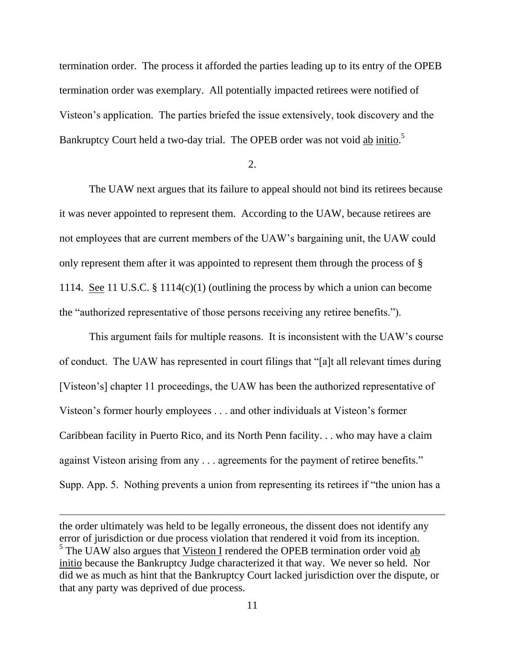termination order. The process it afforded the parties leading up to its entry of the OPEB termination order was exemplary. All potentially impacted retirees were notified of Visteon's application. The parties briefed the issue extensively, took discovery and the Bankruptcy Court held a two-day trial. The OPEB order was not void ab initio.<sup>5</sup>

## 2.

The UAW next argues that its failure to appeal should not bind its retirees because it was never appointed to represent them. According to the UAW, because retirees are not employees that are current members of the UAW's bargaining unit, the UAW could only represent them after it was appointed to represent them through the process of § 1114. See 11 U.S.C. § 1114(c)(1) (outlining the process by which a union can become the "authorized representative of those persons receiving any retiree benefits.").

This argument fails for multiple reasons. It is inconsistent with the UAW's course of conduct. The UAW has represented in court filings that "[a]t all relevant times during [Visteon's] chapter 11 proceedings, the UAW has been the authorized representative of Visteon's former hourly employees . . . and other individuals at Visteon's former Caribbean facility in Puerto Rico, and its North Penn facility. . . who may have a claim against Visteon arising from any . . . agreements for the payment of retiree benefits." Supp. App. 5. Nothing prevents a union from representing its retirees if "the union has a

the order ultimately was held to be legally erroneous, the dissent does not identify any error of jurisdiction or due process violation that rendered it void from its inception.  $5$  The UAW also argues that Visteon I rendered the OPEB termination order void ab initio because the Bankruptcy Judge characterized it that way. We never so held. Nor did we as much as hint that the Bankruptcy Court lacked jurisdiction over the dispute, or that any party was deprived of due process.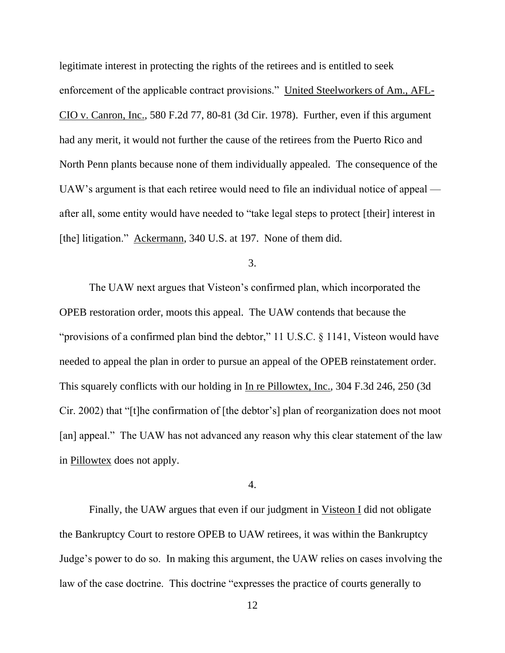legitimate interest in protecting the rights of the retirees and is entitled to seek enforcement of the applicable contract provisions." United Steelworkers of Am., AFL-CIO v. Canron, Inc., 580 F.2d 77, 80-81 (3d Cir. 1978). Further, even if this argument had any merit, it would not further the cause of the retirees from the Puerto Rico and North Penn plants because none of them individually appealed. The consequence of the UAW's argument is that each retiree would need to file an individual notice of appeal after all, some entity would have needed to "take legal steps to protect [their] interest in [the] litigation." Ackermann, 340 U.S. at 197. None of them did.

3.

The UAW next argues that Visteon's confirmed plan, which incorporated the OPEB restoration order, moots this appeal. The UAW contends that because the "provisions of a confirmed plan bind the debtor," 11 U.S.C. § 1141, Visteon would have needed to appeal the plan in order to pursue an appeal of the OPEB reinstatement order. This squarely conflicts with our holding in In re Pillowtex, Inc., 304 F.3d 246, 250 (3d Cir. 2002) that "[t]he confirmation of [the debtor's] plan of reorganization does not moot [an] appeal." The UAW has not advanced any reason why this clear statement of the law in Pillowtex does not apply.

4.

Finally, the UAW argues that even if our judgment in Visteon I did not obligate the Bankruptcy Court to restore OPEB to UAW retirees, it was within the Bankruptcy Judge's power to do so. In making this argument, the UAW relies on cases involving the law of the case doctrine. This doctrine "expresses the practice of courts generally to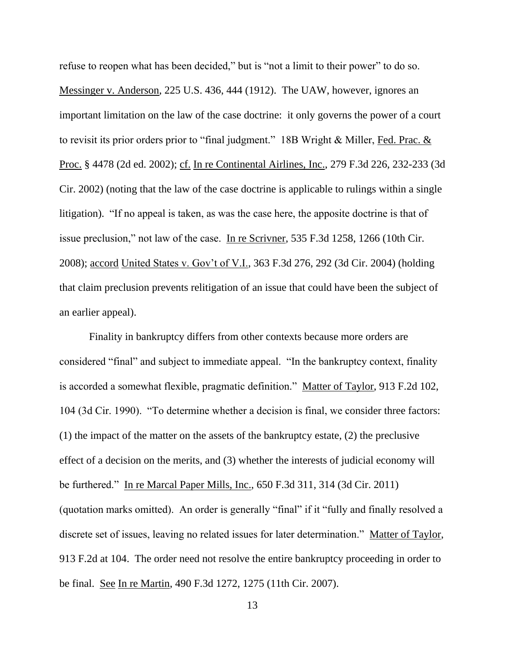refuse to reopen what has been decided," but is "not a limit to their power" to do so. Messinger v. Anderson, 225 U.S. 436, 444 (1912). The UAW, however, ignores an important limitation on the law of the case doctrine: it only governs the power of a court to revisit its prior orders prior to "final judgment." 18B Wright  $&$  Miller, Fed. Prac.  $&$ Proc. § 4478 (2d ed. 2002); cf. In re Continental Airlines, Inc., 279 F.3d 226, 232-233 (3d Cir. 2002) (noting that the law of the case doctrine is applicable to rulings within a single litigation). "If no appeal is taken, as was the case here, the apposite doctrine is that of issue preclusion," not law of the case. In re Scrivner, 535 F.3d 1258, 1266 (10th Cir. 2008); accord United States v. Gov't of V.I., 363 F.3d 276, 292 (3d Cir. 2004) (holding that claim preclusion prevents relitigation of an issue that could have been the subject of an earlier appeal).

Finality in bankruptcy differs from other contexts because more orders are considered "final" and subject to immediate appeal. "In the bankruptcy context, finality is accorded a somewhat flexible, pragmatic definition." Matter of Taylor, 913 F.2d 102, 104 (3d Cir. 1990). "To determine whether a decision is final, we consider three factors: (1) the impact of the matter on the assets of the bankruptcy estate, (2) the preclusive effect of a decision on the merits, and (3) whether the interests of judicial economy will be furthered." In re Marcal Paper Mills, Inc., 650 F.3d 311, 314 (3d Cir. 2011) (quotation marks omitted). An order is generally "final" if it "fully and finally resolved a discrete set of issues, leaving no related issues for later determination." Matter of Taylor, 913 F.2d at 104. The order need not resolve the entire bankruptcy proceeding in order to be final. See In re Martin, 490 F.3d 1272, 1275 (11th Cir. 2007).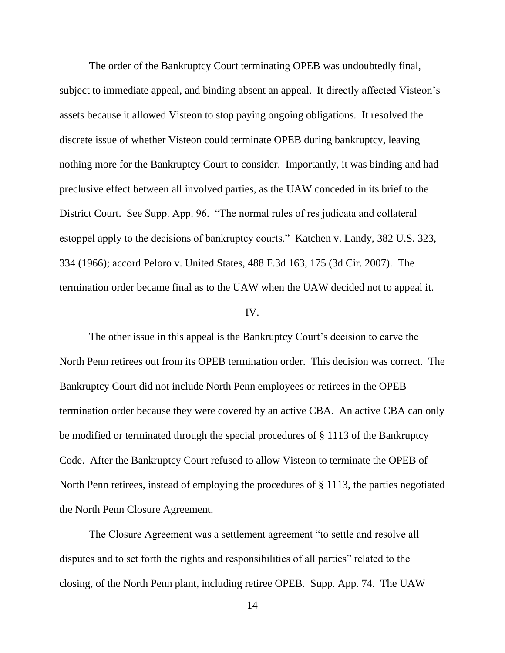The order of the Bankruptcy Court terminating OPEB was undoubtedly final, subject to immediate appeal, and binding absent an appeal. It directly affected Visteon's assets because it allowed Visteon to stop paying ongoing obligations. It resolved the discrete issue of whether Visteon could terminate OPEB during bankruptcy, leaving nothing more for the Bankruptcy Court to consider. Importantly, it was binding and had preclusive effect between all involved parties, as the UAW conceded in its brief to the District Court. See Supp. App. 96. "The normal rules of res judicata and collateral estoppel apply to the decisions of bankruptcy courts." Katchen v. Landy, 382 U.S. 323, 334 (1966); accord Peloro v. United States, 488 F.3d 163, 175 (3d Cir. 2007). The termination order became final as to the UAW when the UAW decided not to appeal it.

#### IV.

The other issue in this appeal is the Bankruptcy Court's decision to carve the North Penn retirees out from its OPEB termination order. This decision was correct. The Bankruptcy Court did not include North Penn employees or retirees in the OPEB termination order because they were covered by an active CBA. An active CBA can only be modified or terminated through the special procedures of § 1113 of the Bankruptcy Code. After the Bankruptcy Court refused to allow Visteon to terminate the OPEB of North Penn retirees, instead of employing the procedures of § 1113, the parties negotiated the North Penn Closure Agreement.

The Closure Agreement was a settlement agreement "to settle and resolve all disputes and to set forth the rights and responsibilities of all parties" related to the closing, of the North Penn plant, including retiree OPEB. Supp. App. 74. The UAW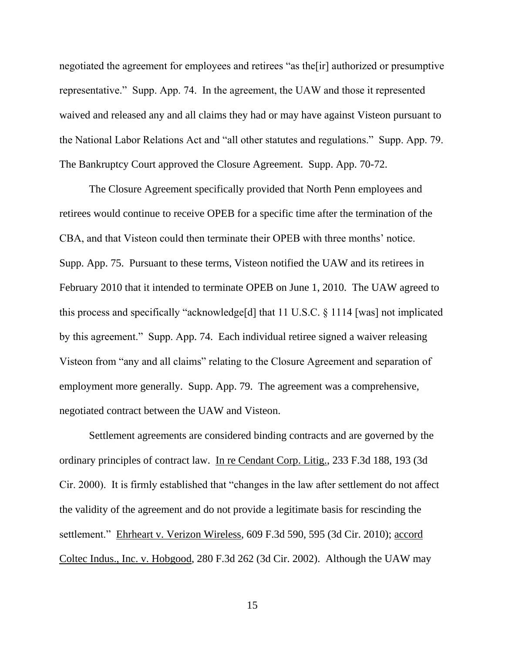negotiated the agreement for employees and retirees "as the[ir] authorized or presumptive representative." Supp. App. 74. In the agreement, the UAW and those it represented waived and released any and all claims they had or may have against Visteon pursuant to the National Labor Relations Act and "all other statutes and regulations." Supp. App. 79. The Bankruptcy Court approved the Closure Agreement. Supp. App. 70-72.

The Closure Agreement specifically provided that North Penn employees and retirees would continue to receive OPEB for a specific time after the termination of the CBA, and that Visteon could then terminate their OPEB with three months' notice. Supp. App. 75. Pursuant to these terms, Visteon notified the UAW and its retirees in February 2010 that it intended to terminate OPEB on June 1, 2010. The UAW agreed to this process and specifically "acknowledge[d] that 11 U.S.C. § 1114 [was] not implicated by this agreement." Supp. App. 74. Each individual retiree signed a waiver releasing Visteon from "any and all claims" relating to the Closure Agreement and separation of employment more generally. Supp. App. 79. The agreement was a comprehensive, negotiated contract between the UAW and Visteon.

Settlement agreements are considered binding contracts and are governed by the ordinary principles of contract law. In re Cendant Corp. Litig., 233 F.3d 188, 193 (3d Cir. 2000). It is firmly established that "changes in the law after settlement do not affect the validity of the agreement and do not provide a legitimate basis for rescinding the settlement." Ehrheart v. Verizon Wireless, 609 F.3d 590, 595 (3d Cir. 2010); accord Coltec Indus., Inc. v. Hobgood, 280 F.3d 262 (3d Cir. 2002). Although the UAW may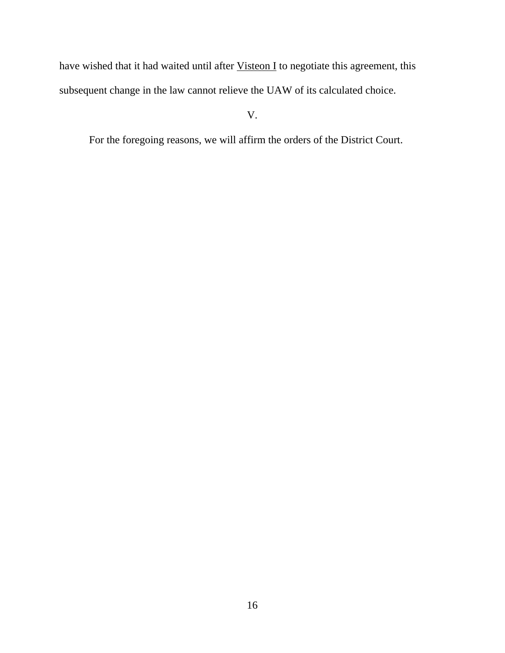have wished that it had waited until after **Visteon I** to negotiate this agreement, this subsequent change in the law cannot relieve the UAW of its calculated choice.

V.

For the foregoing reasons, we will affirm the orders of the District Court.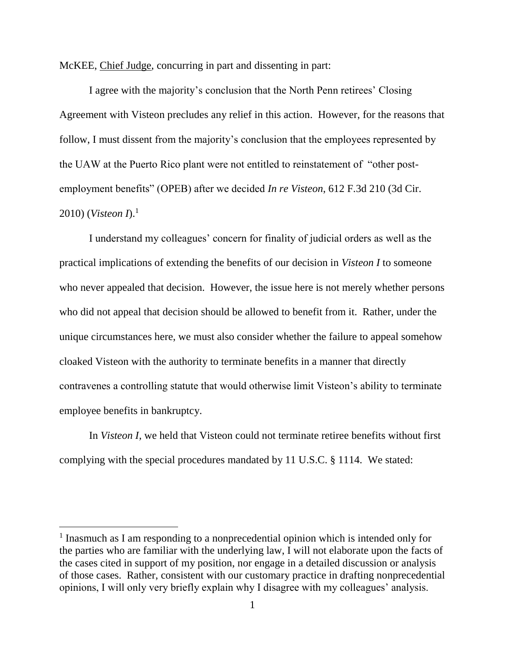McKEE, Chief Judge, concurring in part and dissenting in part:

I agree with the majority's conclusion that the North Penn retirees' Closing Agreement with Visteon precludes any relief in this action. However, for the reasons that follow, I must dissent from the majority's conclusion that the employees represented by the UAW at the Puerto Rico plant were not entitled to reinstatement of "other postemployment benefits" (OPEB) after we decided *In re Visteon*, 612 F.3d 210 (3d Cir. 2010) (*Visteon I*). 1

I understand my colleagues' concern for finality of judicial orders as well as the practical implications of extending the benefits of our decision in *Visteon I* to someone who never appealed that decision. However, the issue here is not merely whether persons who did not appeal that decision should be allowed to benefit from it. Rather, under the unique circumstances here, we must also consider whether the failure to appeal somehow cloaked Visteon with the authority to terminate benefits in a manner that directly contravenes a controlling statute that would otherwise limit Visteon's ability to terminate employee benefits in bankruptcy.

In *Visteon I*, we held that Visteon could not terminate retiree benefits without first complying with the special procedures mandated by 11 U.S.C. § 1114. We stated:

<sup>&</sup>lt;sup>1</sup> Inasmuch as I am responding to a nonprecedential opinion which is intended only for the parties who are familiar with the underlying law, I will not elaborate upon the facts of the cases cited in support of my position, nor engage in a detailed discussion or analysis of those cases. Rather, consistent with our customary practice in drafting nonprecedential opinions, I will only very briefly explain why I disagree with my colleagues' analysis.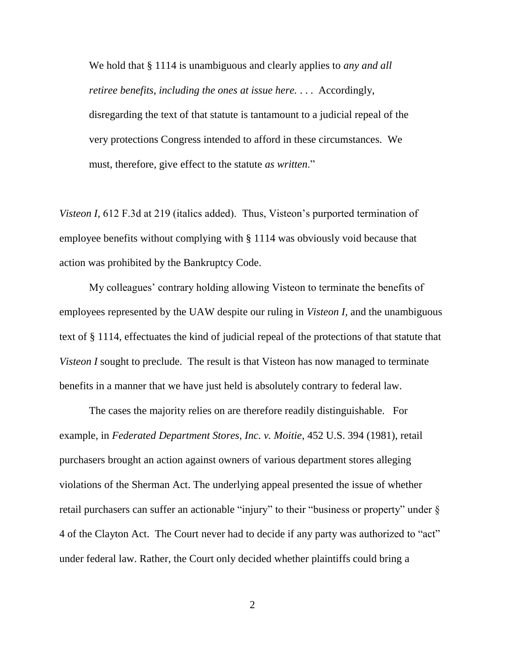We hold that § 1114 is unambiguous and clearly applies to *any and all retiree benefits*, *including the ones at issue here.* . . . Accordingly, disregarding the text of that statute is tantamount to a judicial repeal of the very protections Congress intended to afford in these circumstances. We must, therefore, give effect to the statute *as written*."

*Visteon I,* 612 F.3d at 219 (italics added). Thus, Visteon's purported termination of employee benefits without complying with § 1114 was obviously void because that action was prohibited by the Bankruptcy Code.

My colleagues' contrary holding allowing Visteon to terminate the benefits of employees represented by the UAW despite our ruling in *Visteon I*, and the unambiguous text of § 1114, effectuates the kind of judicial repeal of the protections of that statute that *Visteon I* sought to preclude. The result is that Visteon has now managed to terminate benefits in a manner that we have just held is absolutely contrary to federal law.

The cases the majority relies on are therefore readily distinguishable. For example, in *Federated Department Stores, Inc. v. Moitie*, 452 U.S. 394 (1981), retail purchasers brought an action against owners of various department stores alleging violations of the Sherman Act. The underlying appeal presented the issue of whether retail purchasers can suffer an actionable "injury" to their "business or property" under § 4 of the Clayton Act. The Court never had to decide if any party was authorized to "act" under federal law. Rather, the Court only decided whether plaintiffs could bring a